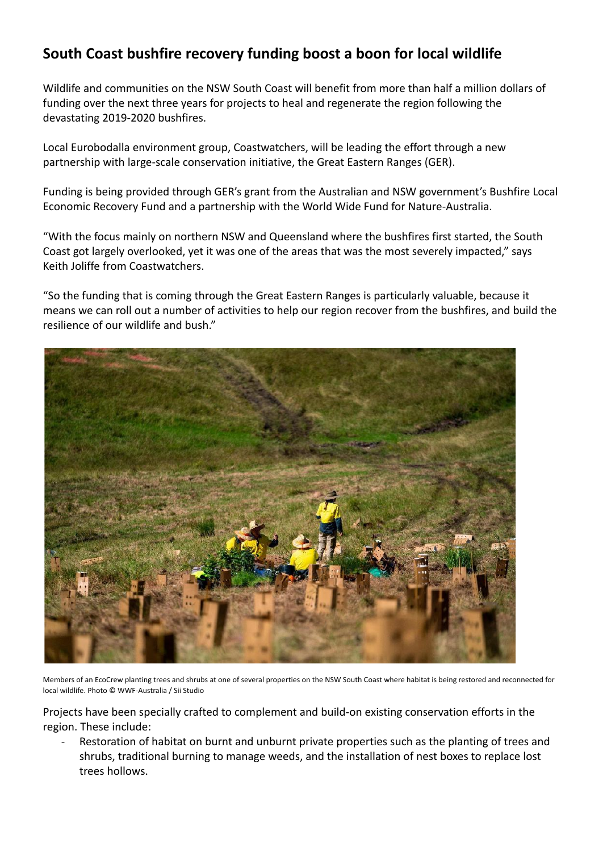## **South Coast bushfire recovery funding boost a boon for local wildlife**

Wildlife and communities on the NSW South Coast will benefit from more than half a million dollars of funding over the next three years for projects to heal and regenerate the region following the devastating 2019-2020 bushfires.

Local Eurobodalla environment group, Coastwatchers, will be leading the effort through a new partnership with large-scale conservation initiative, the Great Eastern Ranges (GER).

Funding is being provided through GER's grant from the Australian and NSW government's Bushfire Local Economic Recovery Fund and a partnership with the World Wide Fund for Nature-Australia.

"With the focus mainly on northern NSW and Queensland where the bushfires first started, the South Coast got largely overlooked, yet it was one of the areas that was the most severely impacted," says Keith Joliffe from Coastwatchers.

"So the funding that is coming through the Great Eastern Ranges is particularly valuable, because it means we can roll out a number of activities to help our region recover from the bushfires, and build the resilience of our wildlife and bush."



Members of an EcoCrew planting trees and shrubs at one of several properties on the NSW South Coast where habitat is being restored and reconnected for local wildlife. Photo © WWF-Australia / Sii Studio

Projects have been specially crafted to complement and build-on existing conservation efforts in the region. These include:

Restoration of habitat on burnt and unburnt private properties such as the planting of trees and shrubs, traditional burning to manage weeds, and the installation of nest boxes to replace lost trees hollows.